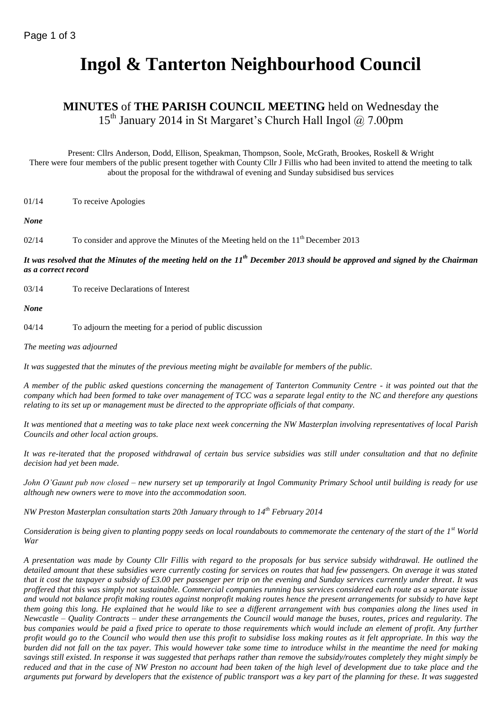# **Ingol & Tanterton Neighbourhood Council**

## **MINUTES** of **THE PARISH COUNCIL MEETING** held on Wednesday the 15<sup>th</sup> January 2014 in St Margaret's Church Hall Ingol @ 7.00pm

Present: Cllrs Anderson, Dodd, Ellison, Speakman, Thompson, Soole, McGrath, Brookes, Roskell & Wright There were four members of the public present together with County Cllr J Fillis who had been invited to attend the meeting to talk about the proposal for the withdrawal of evening and Sunday subsidised bus services

01/14 To receive Apologies

*None*

02/14 To consider and approve the Minutes of the Meeting held on the 11<sup>th</sup> December 2013

*It was resolved that the Minutes of the meeting held on the 11th December 2013 should be approved and signed by the Chairman as a correct record*

03/14 To receive Declarations of Interest

*None*

04/14 To adjourn the meeting for a period of public discussion

*The meeting was adjourned*

*It was suggested that the minutes of the previous meeting might be available for members of the public.*

*A member of the public asked questions concerning the management of Tanterton Community Centre - it was pointed out that the company which had been formed to take over management of TCC was a separate legal entity to the NC and therefore any questions relating to its set up or management must be directed to the appropriate officials of that company.*

*It was mentioned that a meeting was to take place next week concerning the NW Masterplan involving representatives of local Parish Councils and other local action groups.*

*It was re-iterated that the proposed withdrawal of certain bus service subsidies was still under consultation and that no definite decision had yet been made.*

*John O'Gaunt pub now closed – new nursery set up temporarily at Ingol Community Primary School until building is ready for use although new owners were to move into the accommodation soon.*

*NW Preston Masterplan consultation starts 20th January through to 14th February 2014*

*Consideration is being given to planting poppy seeds on local roundabouts to commemorate the centenary of the start of the 1st World War*

*A presentation was made by County Cllr Fillis with regard to the proposals for bus service subsidy withdrawal. He outlined the detailed amount that these subsidies were currently costing for services on routes that had few passengers. On average it was stated that it cost the taxpayer a subsidy of £3.00 per passenger per trip on the evening and Sunday services currently under threat. It was proffered that this was simply not sustainable. Commercial companies running bus services considered each route as a separate issue and would not balance profit making routes against nonprofit making routes hence the present arrangements for subsidy to have kept them going this long. He explained that he would like to see a different arrangement with bus companies along the lines used in Newcastle – Quality Contracts – under these arrangements the Council would manage the buses, routes, prices and regularity. The bus companies would be paid a fixed price to operate to those requirements which would include an element of profit. Any further profit would go to the Council who would then use this profit to subsidise loss making routes as it felt appropriate. In this way the burden did not fall on the tax payer. This would however take some time to introduce whilst in the meantime the need for making savings still existed. In response it was suggested that perhaps rather than remove the subsidy/routes completely they might simply be reduced and that in the case of NW Preston no account had been taken of the high level of development due to take place and the arguments put forward by developers that the existence of public transport was a key part of the planning for these. It was suggested*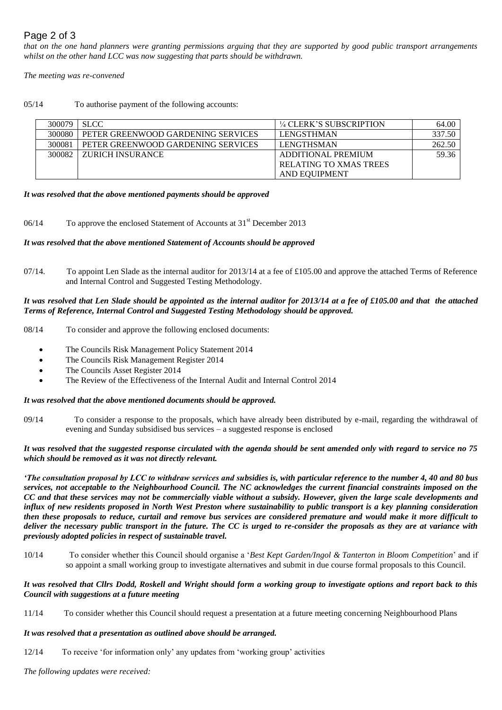## Page 2 of 3

*that on the one hand planners were granting permissions arguing that they are supported by good public transport arrangements whilst on the other hand LCC was now suggesting that parts should be withdrawn.*

*The meeting was re-convened*

05/14 To authorise payment of the following accounts:

| 300079 | <b>SLCC</b>                        | <sup>1/4</sup> CLERK'S SUBSCRIPTION | 64.00  |
|--------|------------------------------------|-------------------------------------|--------|
| 300080 | PETER GREENWOOD GARDENING SERVICES | <b>LENGSTHMAN</b>                   | 337.50 |
| 300081 | PETER GREENWOOD GARDENING SERVICES | <b>LENGTHSMAN</b>                   | 262.50 |
| 300082 | ZURICH INSURANCE                   | ADDITIONAL PREMIUM                  | 59.36  |
|        |                                    | <b>RELATING TO XMAS TREES</b>       |        |
|        |                                    | AND EQUIPMENT                       |        |

#### *It was resolved that the above mentioned payments should be approved*

06/14 To approve the enclosed Statement of Accounts at 31<sup>st</sup> December 2013

#### *It was resolved that the above mentioned Statement of Accounts should be approved*

07/14. To appoint Len Slade as the internal auditor for 2013/14 at a fee of £105.00 and approve the attached Terms of Reference and Internal Control and Suggested Testing Methodology.

#### *It was resolved that Len Slade should be appointed as the internal auditor for 2013/14 at a fee of £105.00 and that the attached Terms of Reference, Internal Control and Suggested Testing Methodology should be approved.*

08/14 To consider and approve the following enclosed documents:

- The Councils Risk Management Policy Statement 2014
- The Councils Risk Management Register 2014
- The Councils Asset Register 2014
- The Review of the Effectiveness of the Internal Audit and Internal Control 2014

#### *It was resolved that the above mentioned documents should be approved.*

09/14 To consider a response to the proposals, which have already been distributed by e-mail, regarding the withdrawal of evening and Sunday subsidised bus services – a suggested response is enclosed

#### *It was resolved that the suggested response circulated with the agenda should be sent amended only with regard to service no 75 which should be removed as it was not directly relevant.*

*'The consultation proposal by LCC to withdraw services and subsidies is, with particular reference to the number 4, 40 and 80 bus services, not acceptable to the Neighbourhood Council. The NC acknowledges the current financial constraints imposed on the CC and that these services may not be commercially viable without a subsidy. However, given the large scale developments and influx of new residents proposed in North West Preston where sustainability to public transport is a key planning consideration then these proposals to reduce, curtail and remove bus services are considered premature and would make it more difficult to deliver the necessary public transport in the future. The CC is urged to re-consider the proposals as they are at variance with previously adopted policies in respect of sustainable travel.*

10/14 To consider whether this Council should organise a '*Best Kept Garden/Ingol & Tanterton in Bloom Competition*' and if so appoint a small working group to investigate alternatives and submit in due course formal proposals to this Council.

#### *It was resolved that Cllrs Dodd, Roskell and Wright should form a working group to investigate options and report back to this Council with suggestions at a future meeting*

11/14 To consider whether this Council should request a presentation at a future meeting concerning Neighbourhood Plans

#### *It was resolved that a presentation as outlined above should be arranged.*

12/14 To receive 'for information only' any updates from 'working group' activities

*The following updates were received:*